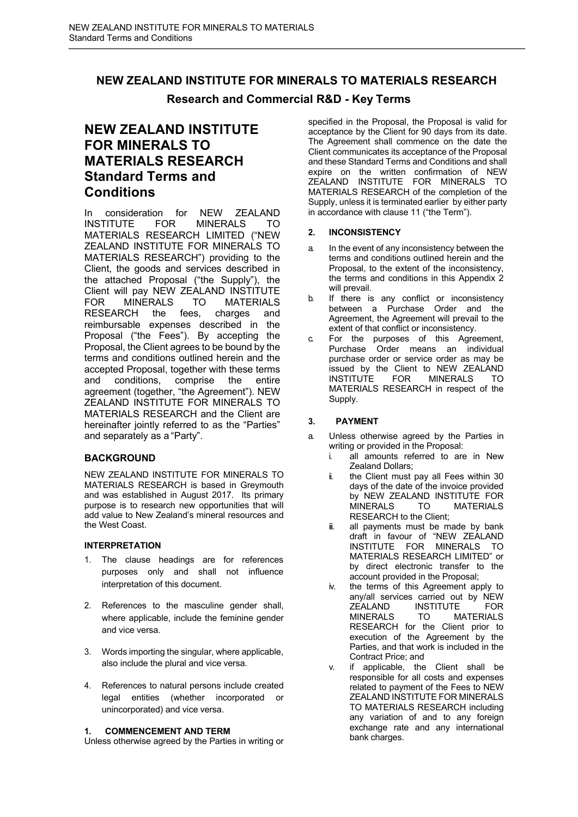# **NEW ZEALAND INSTITUTE FOR MINERALS TO MATERIALS RESEARCH**

# **Research and Commercial R&D - Key Terms**

# **NEW ZEALAND INSTITUTE FOR MINERALS TO MATERIALS RESEARCH Standard Terms and Conditions**

In consideration for NEW ZEALAND INSTITUTE FOR MINERALS TO MATERIALS RESEARCH LIMITED ("NEW ZEALAND INSTITUTE FOR MINERALS TO MATERIALS RESEARCH") providing to the Client, the goods and services described in the attached Proposal ("the Supply"), the Client will pay NEW ZEALAND INSTITUTE FOR MINERALS TO MATERIALS<br>RESEARCH the fees, charges and charges and reimbursable expenses described in the Proposal ("the Fees"). By accepting the Proposal, the Client agrees to be bound by the terms and conditions outlined herein and the accepted Proposal, together with these terms and conditions, comprise the entire agreement (together, "the Agreement"). NEW ZEALAND INSTITUTE FOR MINERALS TO MATERIALS RESEARCH and the Client are hereinafter jointly referred to as the "Parties" and separately as a "Party".

# **BACKGROUND**

NEW ZEALAND INSTITUTE FOR MINERALS TO MATERIALS RESEARCH is based in Greymouth and was established in August 2017. Its primary purpose is to research new opportunities that will add value to New Zealand's mineral resources and the West Coast.

# **INTERPRETATION**

- 1. The clause headings are for references purposes only and shall not influence interpretation of this document.
- 2. References to the masculine gender shall, where applicable, include the feminine gender and vice versa.
- 3. Words importing the singular, where applicable, also include the plural and vice versa.
- 4. References to natural persons include created legal entities (whether incorporated or unincorporated) and vice versa.

# **1. COMMENCEMENT AND TERM**

Unless otherwise agreed by the Parties in writing or

specified in the Proposal, the Proposal is valid for acceptance by the Client for 90 days from its date. The Agreement shall commence on the date the Client communicates its acceptance of the Proposal and these Standard Terms and Conditions and shall expire on the written confirmation of NEW ZEALAND INSTITUTE FOR MINERALS TO MATERIALS RESEARCH of the completion of the Supply, unless it is terminated earlier by either party in accordance with clause 11 ("the Term").

# **2. INCONSISTENCY**

- a. In the event of any inconsistency between the terms and conditions outlined herein and the Proposal, to the extent of the inconsistency, the terms and conditions in this Appendix 2 will prevail.
- b. If there is any conflict or inconsistency between a Purchase Order and the Agreement, the Agreement will prevail to the extent of that conflict or inconsistency.
- c. For the purposes of this Agreement, Purchase Order means an individual purchase order or service order as may be issued by the Client to NEW ZEALAND<br>INSTITUTE FOR MINERALS TO MINERALS TO MATERIALS RESEARCH in respect of the Supply.

# **3. PAYMENT**

- a. Unless otherwise agreed by the Parties in writing or provided in the Proposal:
	- i. all amounts referred to are in New Zealand Dollars;
	- ii. the Client must pay all Fees within 30 days of the date of the invoice provided by NEW ZEALAND INSTITUTE FOR MINERALS TO MATERIALS RESEARCH to the Client;
	- ii. all payments must be made by bank draft in favour of "NEW ZEALAND INSTITUTE FOR MINERALS TO MATERIALS RESEARCH LIMITED" or by direct electronic transfer to the account provided in the Proposal;
	- iv. the terms of this Agreement apply to any/all services carried out by NEW ZEALAND INSTITUTE FOR MINERALS TO MATERIALS RESEARCH for the Client prior to execution of the Agreement by the Parties, and that work is included in the Contract Price; and
	- v. if applicable, the Client shall be responsible for all costs and expenses related to payment of the Fees to NEW ZEALAND INSTITUTE FOR MINERALS TO MATERIALS RESEARCH including any variation of and to any foreign exchange rate and any international bank charges.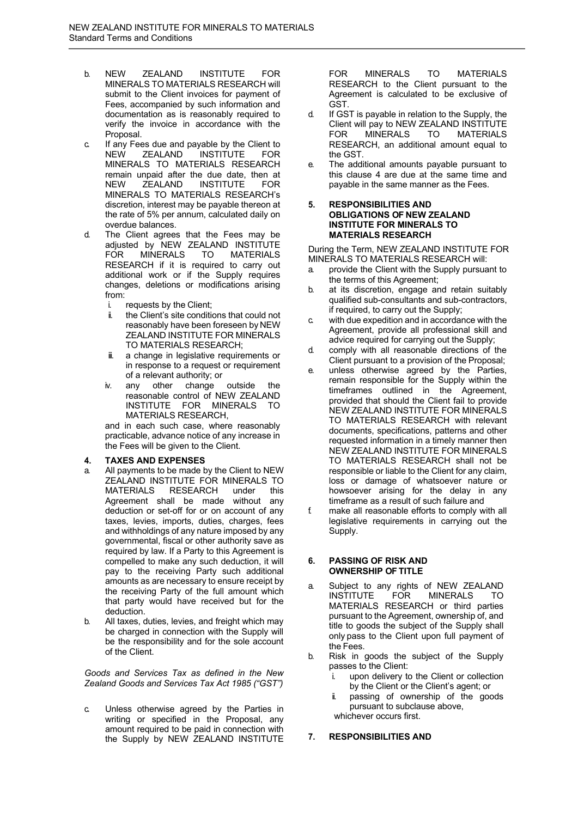- b. NEW ZEALAND INSTITUTE FOR MINERALS TO MATERIALS RESEARCH will submit to the Client invoices for payment of Fees, accompanied by such information and documentation as is reasonably required to verify the invoice in accordance with the Proposal.
- c. If any Fees due and payable by the Client to<br>NEW ZEALAND INSTITUTE FOR INSTITUTE FOR MINERALS TO MATERIALS RESEARCH remain unpaid after the due date, then at<br>NEW ZEALAND INSTITUTE FOR NEW ZEALAND INSTITUTE FOR MINERALS TO MATERIALS RESEARCH's discretion, interest may be payable thereon at the rate of 5% per annum, calculated daily on overdue balances.
- d. The Client agrees that the Fees may be adjusted by NEW ZEALAND INSTITUTE<br>FOR MINERALS TO MATERIALS FOR MINERALS TO MATERIALS RESEARCH if it is required to carry out additional work or if the Supply requires changes, deletions or modifications arising from:
	- i. requests by the Client;
	- ii. the Client's site conditions that could not reasonably have been foreseen by NEW ZEALAND INSTITUTE FOR MINERALS TO MATERIALS RESEARCH;
	- ii. a change in legislative requirements or in response to a request or requirement of a relevant authority; or
	- iv. any other change outside the reasonable control of NEW ZEALAND INSTITUTE FOR MINERALS TO MATERIALS RESEARCH,

and in each such case, where reasonably practicable, advance notice of any increase in the Fees will be given to the Client.

# **4. TAXES AND EXPENSES**

- a. All payments to be made by the Client to NEW ZEALAND INSTITUTE FOR MINERALS TO MATERIALS RESEARCH under this Agreement shall be made without any deduction or set-off for or on account of any taxes, levies, imports, duties, charges, fees and withholdings of any nature imposed by any governmental, fiscal or other authority save as required by law. If a Party to this Agreement is compelled to make any such deduction, it will pay to the receiving Party such additional amounts as are necessary to ensure receipt by the receiving Party of the full amount which that party would have received but for the deduction.
- b. All taxes, duties, levies, and freight which may be charged in connection with the Supply will be the responsibility and for the sole account of the Client.

*Goods and Services Tax as defined in the New Zealand Goods and Services Tax Act 1985 ("GST")*

c. Unless otherwise agreed by the Parties in writing or specified in the Proposal, any amount required to be paid in connection with the Supply by NEW ZEALAND INSTITUTE FOR MINERALS TO MATERIALS RESEARCH to the Client pursuant to the Agreement is calculated to be exclusive of GST.

- d. If GST is payable in relation to the Supply, the Client will pay to NEW ZEALAND INSTITUTE<br>FOR MINERALS TO MATERIALS FOR MINERALS TO MATERIALS RESEARCH, an additional amount equal to the GST.
- e. The additional amounts payable pursuant to this clause 4 are due at the same time and payable in the same manner as the Fees.

#### **5. RESPONSIBILITIES AND OBLIGATIONS OF NEW ZEALAND INSTITUTE FOR MINERALS TO MATERIALS RESEARCH**

During the Term, NEW ZEALAND INSTITUTE FOR MINERALS TO MATERIALS RESEARCH will:

- a. provide the Client with the Supply pursuant to the terms of this Agreement;
- b. at its discretion, engage and retain suitably qualified sub-consultants and sub-contractors, if required, to carry out the Supply;
- c. with due expedition and in accordance with the Agreement, provide all professional skill and advice required for carrying out the Supply;
- d. comply with all reasonable directions of the Client pursuant to a provision of the Proposal;
- e. unless otherwise agreed by the Parties, remain responsible for the Supply within the timeframes outlined in the Agreement, provided that should the Client fail to provide NEW ZEALAND INSTITUTE FOR MINERALS TO MATERIALS RESEARCH with relevant documents, specifications, patterns and other requested information in a timely manner then NEW ZEALAND INSTITUTE FOR MINERALS TO MATERIALS RESEARCH shall not be responsible or liable to the Client for any claim, loss or damage of whatsoever nature or howsoever arising for the delay in any timeframe as a result of such failure and
- f. make all reasonable efforts to comply with all legislative requirements in carrying out the Supply.

#### **6. PASSING OF RISK AND OWNERSHIP OF TITLE**

- a. Subject to any rights of NEW ZEALAND<br>INSTITUTE FOR MINERALS TO INSTITUTE FOR MINERALS TO MATERIALS RESEARCH or third parties pursuant to the Agreement, ownership of, and title to goods the subject of the Supply shall only pass to the Client upon full payment of the Fees.
- b. Risk in goods the subject of the Supply passes to the Client:
	- i. upon delivery to the Client or collection by the Client or the Client's agent; or
	- ii. passing of ownership of the goods pursuant to subclause above, whichever occurs first.

#### **7. RESPONSIBILITIES AND**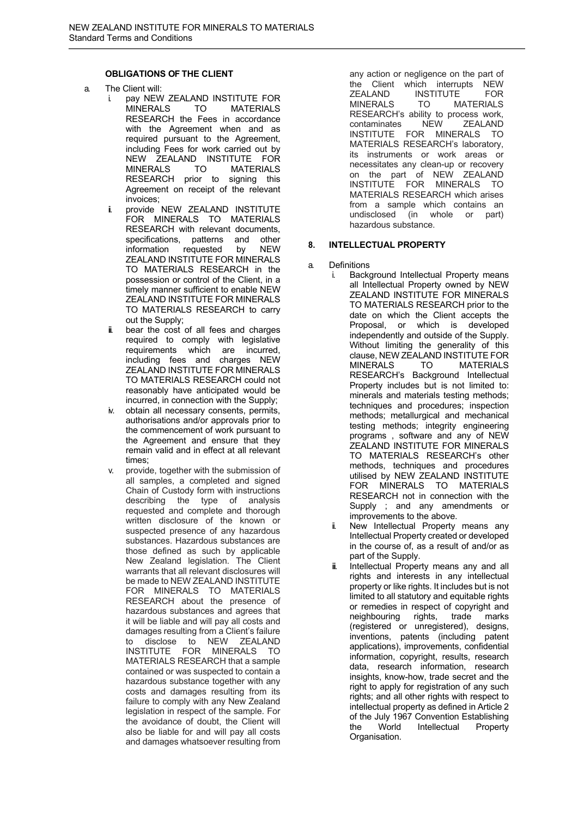# **OBLIGATIONS OF THE CLIENT**

- a. The Client will:
	- i. pay NEW ZEALAND INSTITUTE FOR MINERALS TO MATERIALS RESEARCH the Fees in accordance with the Agreement when and as required pursuant to the Agreement, including Fees for work carried out by NEW ZEALAND INSTITUTE FOR MINERALS TO MATERIALS RESEARCH prior to signing this Agreement on receipt of the relevant invoices;
	- ii. provide NEW ZEALAND INSTITUTE FOR MINERALS TO MATERIALS RESEARCH with relevant documents, specifications, patterns and other<br>information requested by NFW information requested by ZEALAND INSTITUTE FOR MINERALS TO MATERIALS RESEARCH in the possession or control of the Client, in a timely manner sufficient to enable NEW ZEALAND INSTITUTE FOR MINERALS TO MATERIALS RESEARCH to carry out the Supply;
	- bear the cost of all fees and charges required to comply with legislative requirements which are incurred, including fees and charges NEW ZEALAND INSTITUTE FOR MINERALS TO MATERIALS RESEARCH could not reasonably have anticipated would be incurred, in connection with the Supply;
	- iv. obtain all necessary consents, permits, authorisations and/or approvals prior to the commencement of work pursuant to the Agreement and ensure that they remain valid and in effect at all relevant times;
	- v. provide, together with the submission of all samples, a completed and signed Chain of Custody form with instructions describing the type of analysis requested and complete and thorough written disclosure of the known or suspected presence of any hazardous substances. Hazardous substances are those defined as such by applicable New Zealand legislation. The Client warrants that all relevant disclosures will be made to NEW ZEALAND INSTITUTE FOR MINERALS TO MATERIALS RESEARCH about the presence of hazardous substances and agrees that it will be liable and will pay all costs and damages resulting from a Client's failure to disclose to NEW ZEALAND INSTITUTE FOR MINERALS TO MATERIALS RESEARCH that a sample contained or was suspected to contain a hazardous substance together with any costs and damages resulting from its failure to comply with any New Zealand legislation in respect of the sample. For the avoidance of doubt, the Client will also be liable for and will pay all costs and damages whatsoever resulting from

any action or negligence on the part of the Client which interrupts NEW<br>
TEALAND INSTITUTE FOR ZEALAND INSTITUTE<br>MINERALS TO M **MATERIALS** RESEARCH's ability to process work,<br>contaminates NEW ZEALAND contaminates INSTITUTE FOR MINERALS TO MATERIALS RESEARCH's laboratory, its instruments or work areas or necessitates any clean-up or recovery on the part of NEW ZEALAND INSTITUTE FOR MINERALS TO MATERIALS RESEARCH which arises from a sample which contains an undisclosed (in whole or part) hazardous substance.

#### **8. INTELLECTUAL PROPERTY**

- a. Definitions
	- i. Background Intellectual Property means all Intellectual Property owned by NEW ZEALAND INSTITUTE FOR MINERALS TO MATERIALS RESEARCH prior to the date on which the Client accepts the Proposal, or which is developed independently and outside of the Supply. Without limiting the generality of this clause, NEW ZEALAND INSTITUTE FOR **MATERIALS** RESEARCH's Background Intellectual Property includes but is not limited to: minerals and materials testing methods; techniques and procedures; inspection methods; metallurgical and mechanical testing methods; integrity engineering programs , software and any of NEW ZEALAND INSTITUTE FOR MINERALS TO MATERIALS RESEARCH's other methods, techniques and procedures utilised by NEW ZEALAND INSTITUTE FOR MINERALS TO MATERIALS RESEARCH not in connection with the Supply ; and any amendments or improvements to the above.
		- New Intellectual Property means any Intellectual Property created or developed in the course of, as a result of and/or as part of the Supply.
		- ii. Intellectual Property means any and all rights and interests in any intellectual property or like rights. It includes but is not limited to all statutory and equitable rights or remedies in respect of copyright and<br>neighbouring rights. trade marks neighbouring rights, trade marks (registered or unregistered), designs, inventions, patents (including patent applications), improvements, confidential information, copyright, results, research data, research information, research insights, know-how, trade secret and the right to apply for registration of any such rights; and all other rights with respect to intellectual property as defined in Article 2 of the July 1967 Convention Establishing the World Intellectual Property Organisation.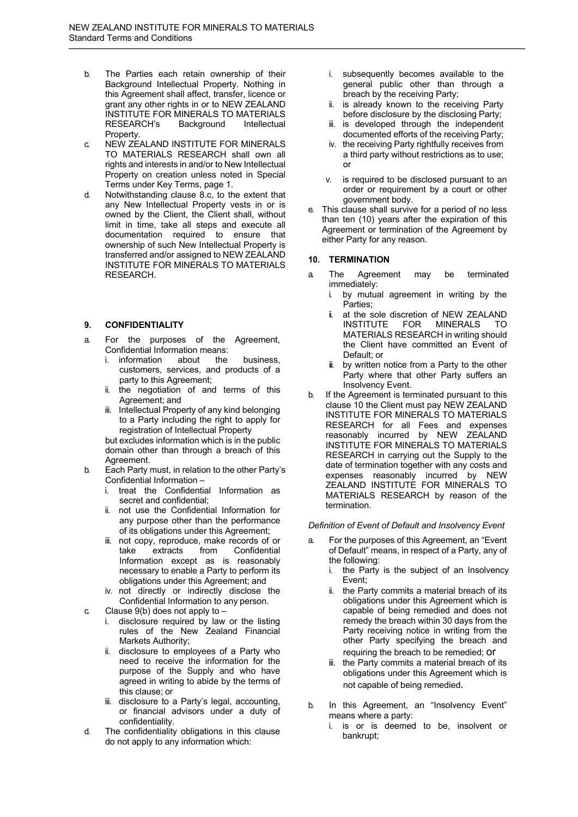- b. The Parties each retain ownership of their Background Intellectual Property. Nothing in this Agreement shall affect, transfer, licence or grant any other rights in or to NEW ZEALAND INSTITUTE FOR MINERALS TO MATERIALS RESEARCH's Background Intellectual Property.
- c. NEW ZEALAND INSTITUTE FOR MINERALS TO MATERIALS RESEARCH shall own all rights and interests in and/or to New Intellectual Property on creation unless noted in Special Terms under Key Terms, page 1.
- d. Notwithstanding clause 8.c, to the extent that any New Intellectual Property vests in or is owned by the Client, the Client shall, without limit in time, take all steps and execute all documentation required to ensure that ownership of such New Intellectual Property is transferred and/or assigned to NEW ZEALAND INSTITUTE FOR MINERALS TO MATERIALS RESEARCH.

#### **9. CONFIDENTIALITY**

- a. For the purposes of the Agreement, Confidential Information means:
	- i. information about the business, customers, services, and products of a party to this Agreement;
	- ii. the negotiation of and terms of this Agreement; and
	- iii. Intellectual Property of any kind belonging to a Party including the right to apply for registration of Intellectual Property

but excludes information which is in the public domain other than through a breach of this Agreement.

- b. Each Party must, in relation to the other Party's Confidential Information –
	- treat the Confidential Information as secret and confidential;
	- ii. not use the Confidential Information for any purpose other than the performance of its obligations under this Agreement;
	- iii. not copy, reproduce, make records of or take extracts from Confidential Information except as is reasonably necessary to enable a Party to perform its obligations under this Agreement; and
	- iv. not directly or indirectly disclose the Confidential Information to any person.

c. Clause  $9(b)$  does not apply to  $-$ 

- i. disclosure required by law or the listing rules of the New Zealand Financial Markets Authority;
- ii. disclosure to employees of a Party who need to receive the information for the purpose of the Supply and who have agreed in writing to abide by the terms of this clause; or
- iii. disclosure to a Party's legal, accounting, or financial advisors under a duty of confidentiality.
- d. The confidentiality obligations in this clause do not apply to any information which:
- i. subsequently becomes available to the general public other than through a breach by the receiving Party;
- ii. is already known to the receiving Party before disclosure by the disclosing Party;
- iii. is developed through the independent documented efforts of the receiving Party;
- iv. the receiving Party rightfully receives from a third party without restrictions as to use; or
- v. is required to be disclosed pursuant to an order or requirement by a court or other government body.
- e. This clause shall survive for a period of no less than ten (10) years after the expiration of this Agreement or termination of the Agreement by either Party for any reason.

### **10. TERMINATION**

- a. The Agreement may be terminated immediately:
	- i. by mutual agreement in writing by the Parties;
	- ii. at the sole discretion of NEW ZEALAND INSTITUTE FOR MINERALS MATERIALS RESEARCH in writing should the Client have committed an Event of Default; or
	- by written notice from a Party to the other Party where that other Party suffers an Insolvency Event.
- If the Agreement is terminated pursuant to this clause 10 the Client must pay NEW ZEALAND INSTITUTE FOR MINERALS TO MATERIALS RESEARCH for all Fees and expenses reasonably incurred by NEW ZEALAND INSTITUTE FOR MINERALS TO MATERIALS RESEARCH in carrying out the Supply to the date of termination together with any costs and expenses reasonably incurred by NEW ZEALAND INSTITUTE FOR MINERALS TO MATERIALS RESEARCH by reason of the termination.

#### *Definition of Event of Default and Insolvency Event*

- a. For the purposes of this Agreement, an "Event of Default" means, in respect of a Party, any of the following:
	- i. the Party is the subject of an Insolvency Event;
	- ii. the Party commits a material breach of its obligations under this Agreement which is capable of being remedied and does not remedy the breach within 30 days from the Party receiving notice in writing from the other Party specifying the breach and requiring the breach to be remedied; or
	- iii. the Party commits a material breach of its obligations under this Agreement which is not capable of being remedied.
- b. In this Agreement, an "Insolvency Event" means where a party:
	- i. is or is deemed to be, insolvent or bankrupt;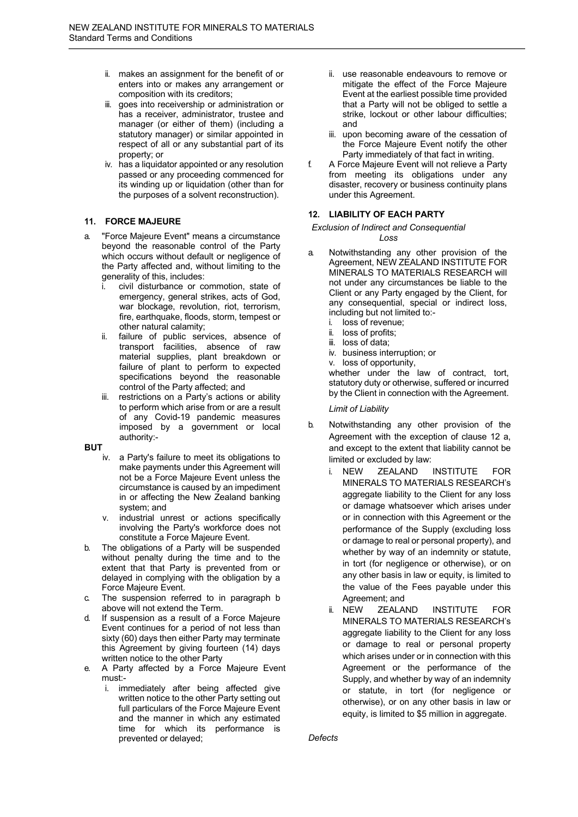- ii. makes an assignment for the benefit of or enters into or makes any arrangement or composition with its creditors;
- iii. goes into receivership or administration or has a receiver, administrator, trustee and manager (or either of them) (including a statutory manager) or similar appointed in respect of all or any substantial part of its property; or
- iv. has a liquidator appointed or any resolution passed or any proceeding commenced for its winding up or liquidation (other than for the purposes of a solvent reconstruction).

# **11. FORCE MAJEURE**

- a. "Force Majeure Event" means a circumstance beyond the reasonable control of the Party which occurs without default or negligence of the Party affected and, without limiting to the generality of this, includes:
	- i. civil disturbance or commotion, state of emergency, general strikes, acts of God, war blockage, revolution, riot, terrorism, fire, earthquake, floods, storm, tempest or other natural calamity;
	- ii. failure of public services, absence of transport facilities, absence of raw material supplies, plant breakdown or failure of plant to perform to expected specifications beyond the reasonable control of the Party affected; and
	- iii. restrictions on a Party's actions or ability to perform which arise from or are a result of any Covid-19 pandemic measures imposed by a government or local authority:-

#### **BUT**

- iv. a Party's failure to meet its obligations to make payments under this Agreement will not be a Force Majeure Event unless the circumstance is caused by an impediment in or affecting the New Zealand banking system; and
- v. industrial unrest or actions specifically involving the Party's workforce does not constitute a Force Majeure Event.
- The obligations of a Party will be suspended without penalty during the time and to the extent that that Party is prevented from or delayed in complying with the obligation by a Force Majeure Event.
- c. The suspension referred to in paragraph b above will not extend the Term.
- If suspension as a result of a Force Majeure Event continues for a period of not less than sixty (60) days then either Party may terminate this Agreement by giving fourteen (14) days written notice to the other Party
- e. A Party affected by a Force Majeure Event must:
	- i. immediately after being affected give written notice to the other Party setting out full particulars of the Force Majeure Event and the manner in which any estimated time for which its performance is prevented or delayed;
- ii. use reasonable endeavours to remove or mitigate the effect of the Force Majeure Event at the earliest possible time provided that a Party will not be obliged to settle a strike, lockout or other labour difficulties; and
- iii. upon becoming aware of the cessation of the Force Majeure Event notify the other Party immediately of that fact in writing.
- f. A Force Majeure Event will not relieve a Party from meeting its obligations under any disaster, recovery or business continuity plans under this Agreement.

# **12. LIABILITY OF EACH PARTY**

*Exclusion of Indirect and Consequential* 

*Loss*

- a. Notwithstanding any other provision of the Agreement, NEW ZEALAND INSTITUTE FOR MINERALS TO MATERIALS RESEARCH will not under any circumstances be liable to the Client or any Party engaged by the Client, for any consequential, special or indirect loss, including but not limited to:
	- i. loss of revenue;
	- ii. loss of profits;
	- iii. loss of data;
	- iv. business interruption; or
	- v. loss of opportunity,

whether under the law of contract, tort, statutory duty or otherwise, suffered or incurred by the Client in connection with the Agreement.

*Limit of Liability*

- b. Notwithstanding any other provision of the Agreement with the exception of clause 12 a, and except to the extent that liability cannot be limited or excluded by law:
	- i. NEW ZEALAND INSTITUTE FOR MINERALS TO MATERIALS RESEARCH's aggregate liability to the Client for any loss or damage whatsoever which arises under or in connection with this Agreement or the performance of the Supply (excluding loss or damage to real or personal property), and whether by way of an indemnity or statute, in tort (for negligence or otherwise), or on any other basis in law or equity, is limited to the value of the Fees payable under this Agreement; and
	- ii. NEW ZEALAND INSTITUTE FOR MINERALS TO MATERIALS RESEARCH's aggregate liability to the Client for any loss or damage to real or personal property which arises under or in connection with this Agreement or the performance of the Supply, and whether by way of an indemnity or statute, in tort (for negligence or otherwise), or on any other basis in law or equity, is limited to \$5 million in aggregate.

*Defects*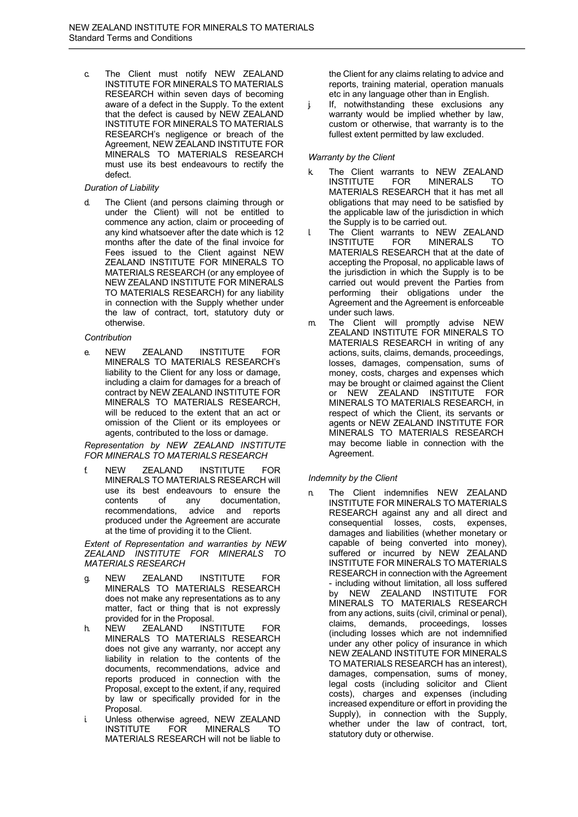c. The Client must notify NEW ZEALAND INSTITUTE FOR MINERALS TO MATERIALS RESEARCH within seven days of becoming aware of a defect in the Supply. To the extent that the defect is caused by NEW ZEALAND INSTITUTE FOR MINERALS TO MATERIALS RESEARCH's negligence or breach of the Agreement, NEW ZEALAND INSTITUTE FOR MINERALS TO MATERIALS RESEARCH must use its best endeavours to rectify the defect.

#### *Duration of Liability*

d. The Client (and persons claiming through or under the Client) will not be entitled to commence any action, claim or proceeding of any kind whatsoever after the date which is 12 months after the date of the final invoice for Fees issued to the Client against NEW ZEALAND INSTITUTE FOR MINERALS TO MATERIALS RESEARCH (or any employee of NEW ZEALAND INSTITUTE FOR MINERALS TO MATERIALS RESEARCH) for any liability in connection with the Supply whether under the law of contract, tort, statutory duty or otherwise.

#### *Contribution*

e. NEW ZEALAND INSTITUTE FOR MINERALS TO MATERIALS RESEARCH's liability to the Client for any loss or damage, including a claim for damages for a breach of contract by NEW ZEALAND INSTITUTE FOR MINERALS TO MATERIALS RESEARCH, will be reduced to the extent that an act or omission of the Client or its employees or agents, contributed to the loss or damage.

*Representation by NEW ZEALAND INSTITUTE FOR MINERALS TO MATERIALS RESEARCH*

f. NEW ZEALAND INSTITUTE FOR MINERALS TO MATERIALS RESEARCH will use its best endeavours to ensure the contents of any documentation, recommendations, advice and reports produced under the Agreement are accurate at the time of providing it to the Client.

*Extent of Representation and warranties by NEW ZEALAND INSTITUTE FOR MINERALS TO MATERIALS RESEARCH*

- g. NEW ZEALAND INSTITUTE FOR MINERALS TO MATERIALS RESEARCH does not make any representations as to any matter, fact or thing that is not expressly provided for in the Proposal.
- h. NEW ZEALAND INSTITUTE FOR MINERALS TO MATERIALS RESEARCH does not give any warranty, nor accept any liability in relation to the contents of the documents, recommendations, advice and reports produced in connection with the Proposal, except to the extent, if any, required by law or specifically provided for in the Proposal.
- i. Unless otherwise agreed, NEW ZEALAND INSTITUTE FOR MINERALS TO MATERIALS RESEARCH will not be liable to

the Client for any claims relating to advice and reports, training material, operation manuals etc in any language other than in English.

j. If, notwithstanding these exclusions any warranty would be implied whether by law. custom or otherwise, that warranty is to the fullest extent permitted by law excluded.

# *Warranty by the Client*

- k. The Client warrants to NEW ZEALAND INSTITUTE FOR MINERALS TO MATERIALS RESEARCH that it has met all obligations that may need to be satisfied by the applicable law of the jurisdiction in which the Supply is to be carried out.
- l. The Client warrants to NEW ZEALAND MINERALS TO MATERIALS RESEARCH that at the date of accepting the Proposal, no applicable laws of the jurisdiction in which the Supply is to be carried out would prevent the Parties from performing their obligations under the Agreement and the Agreement is enforceable under such laws.
- m. The Client will promptly advise NEW ZEALAND INSTITUTE FOR MINERALS TO MATERIALS RESEARCH in writing of any actions, suits, claims, demands, proceedings, losses, damages, compensation, sums of money, costs, charges and expenses which may be brought or claimed against the Client or NEW ZEALAND INSTITUTE FOR MINERALS TO MATERIALS RESEARCH, in respect of which the Client, its servants or agents or NEW ZEALAND INSTITUTE FOR MINERALS TO MATERIALS RESEARCH may become liable in connection with the Agreement.

# *Indemnity by the Client*

n. The Client indemnifies NEW ZEALAND INSTITUTE FOR MINERALS TO MATERIALS RESEARCH against any and all direct and consequential losses, costs, expenses, damages and liabilities (whether monetary or capable of being converted into money), suffered or incurred by NEW ZEALAND INSTITUTE FOR MINERALS TO MATERIALS RESEARCH in connection with the Agreement - including without limitation, all loss suffered by NEW ZEALAND INSTITUTE FOR MINERALS TO MATERIALS RESEARCH from any actions, suits (civil, criminal or penal), claims, demands, proceedings, losses (including losses which are not indemnified under any other policy of insurance in which NEW ZEALAND INSTITUTE FOR MINERALS TO MATERIALS RESEARCH has an interest), damages, compensation, sums of money, legal costs (including solicitor and Client costs), charges and expenses (including increased expenditure or effort in providing the Supply), in connection with the Supply, whether under the law of contract, tort, statutory duty or otherwise.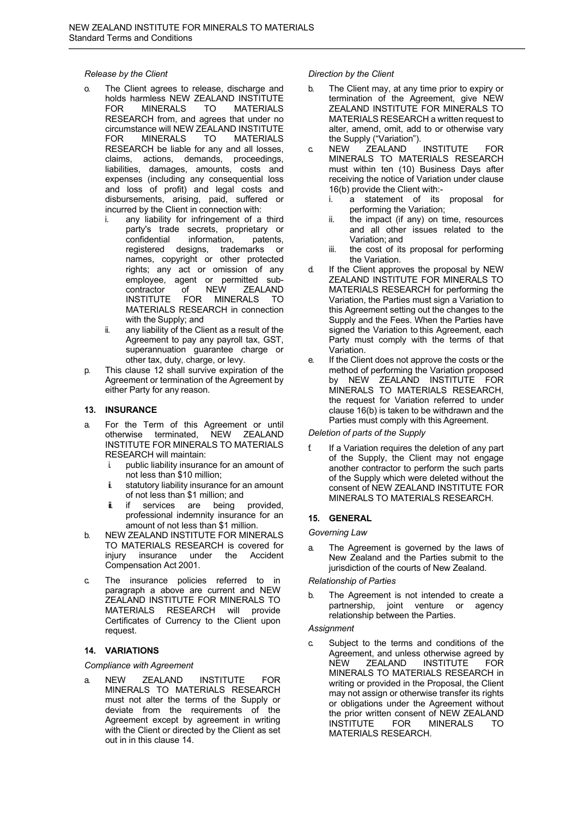#### *Release by the Client*

- o. The Client agrees to release, discharge and holds harmless NEW ZEALAND INSTITUTE FOR MINERALS TO MATERIALS RESEARCH from, and agrees that under no circumstance will NEW ZEALAND INSTITUTE FOR MINERALS TO MATERIALS RESEARCH be liable for any and all losses, claims, actions, demands, proceedings, liabilities, damages, amounts, costs and expenses (including any consequential loss and loss of profit) and legal costs and disbursements, arising, paid, suffered or incurred by the Client in connection with:
	- i. any liability for infringement of a third party's trade secrets, proprietary or<br>confidential information, patents, confidential information, registered designs, trademarks or names, copyright or other protected rights; any act or omission of any employee, agent or permitted sub-<br>contractor of NEW ZEALAND **ZEALAND** INSTITUTE FOR MINERALS TO MATERIALS RESEARCH in connection with the Supply; and
	- ii. any liability of the Client as a result of the Agreement to pay any payroll tax, GST, superannuation guarantee charge or other tax, duty, charge, or levy.
- p. This clause 12 shall survive expiration of the Agreement or termination of the Agreement by either Party for any reason.

# **13. INSURANCE**

- a. For the Term of this Agreement or until otherwise terminated, NEW ZEALAND INSTITUTE FOR MINERALS TO MATERIALS RESEARCH will maintain:
	- i. public liability insurance for an amount of not less than \$10 million;
	- ii. statutory liability insurance for an amount of not less than \$1 million; and
	- ii. if services are being provided, professional indemnity insurance for an amount of not less than \$1 million.
- b. NEW ZEALAND INSTITUTE FOR MINERALS TO MATERIALS RESEARCH is covered for injury insurance under the Accident Compensation Act 2001.
- c. The insurance policies referred to in paragraph a above are current and NEW ZEALAND INSTITUTE FOR MINERALS TO MATERIALS RESEARCH will provide Certificates of Currency to the Client upon request.

# **14. VARIATIONS**

#### *Compliance with Agreement*

a. NEW ZEALAND INSTITUTE FOR MINERALS TO MATERIALS RESEARCH must not alter the terms of the Supply or deviate from the requirements of the Agreement except by agreement in writing with the Client or directed by the Client as set out in in this clause 14.

### *Direction by the Client*

- b. The Client may, at any time prior to expiry or termination of the Agreement, give NEW ZEALAND INSTITUTE FOR MINERALS TO MATERIALS RESEARCH a written request to alter, amend, omit, add to or otherwise vary the Supply ("Variation").
- c. NEW ZEALAND INSTITUTE FOR MINERALS TO MATERIALS RESEARCH must within ten (10) Business Days after receiving the notice of Variation under clause 16(b) provide the Client with:
	- i. a statement of its proposal for performing the Variation;
	- ii. the impact (if any) on time, resources and all other issues related to the Variation; and
	- iii. the cost of its proposal for performing the Variation.
- d. If the Client approves the proposal by NEW ZEALAND INSTITUTE FOR MINERALS TO MATERIALS RESEARCH for performing the Variation, the Parties must sign a Variation to this Agreement setting out the changes to the Supply and the Fees. When the Parties have signed the Variation to this Agreement, each Party must comply with the terms of that Variation.
- e. If the Client does not approve the costs or the method of performing the Variation proposed by NEW ZEALAND INSTITUTE FOR MINERALS TO MATERIALS RESEARCH, the request for Variation referred to under clause 16(b) is taken to be withdrawn and the Parties must comply with this Agreement.

# *Deletion of parts of the Supply*

f. If a Variation requires the deletion of any part of the Supply, the Client may not engage another contractor to perform the such parts of the Supply which were deleted without the consent of NEW ZEALAND INSTITUTE FOR MINERALS TO MATERIALS RESEARCH.

# **15. GENERAL**

#### *Governing Law*

a. The Agreement is governed by the laws of New Zealand and the Parties submit to the jurisdiction of the courts of New Zealand.

#### *Relationship of Parties*

b. The Agreement is not intended to create a partnership, joint venture or agency relationship between the Parties.

#### *Assignment*

c. Subject to the terms and conditions of the Agreement, and unless otherwise agreed by<br>NEW ZEALAND INSTITUTE FOR NEW ZEALAND INSTITUTE FOR MINERALS TO MATERIALS RESEARCH in writing or provided in the Proposal, the Client may not assign or otherwise transfer its rights or obligations under the Agreement without the prior written consent of NEW ZEALAND<br>INSTITUTE FOR MINERALS TO INSTITUTE FOR MINERALS TO MATERIALS RESEARCH.